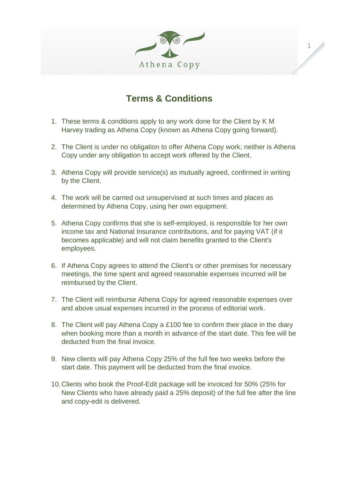

1

## **Terms & Conditions**

- 1. These terms & conditions apply to any work done for the Client by K M Harvey trading as Athena Copy (known as Athena Copy going forward).
- 2. The Client is under no obligation to offer Athena Copy work; neither is Athena Copy under any obligation to accept work offered by the Client.
- 3. Athena Copy will provide service(s) as mutually agreed, confirmed in writing by the Client.
- 4. The work will be carried out unsupervised at such times and places as determined by Athena Copy, using her own equipment.
- 5. Athena Copy confirms that she is self-employed, is responsible for her own income tax and National Insurance contributions, and for paying VAT (if it becomes applicable) and will not claim benefits granted to the Client's employees.
- 6. If Athena Copy agrees to attend the Client's or other premises for necessary meetings, the time spent and agreed reasonable expenses incurred will be reimbursed by the Client.
- 7. The Client will reimburse Athena Copy for agreed reasonable expenses over and above usual expenses incurred in the process of editorial work.
- 8. The Client will pay Athena Copy a £100 fee to confirm their place in the diary when booking more than a month in advance of the start date. This fee will be deducted from the final invoice.
- 9. New clients will pay Athena Copy 25% of the full fee two weeks before the start date. This payment will be deducted from the final invoice.
- 10.Clients who book the Proof-Edit package will be invoiced for 50% (25% for New Clients who have already paid a 25% deposit) of the full fee after the line and copy-edit is delivered.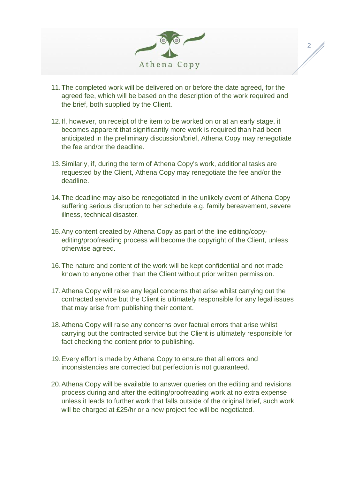

2

- 11.The completed work will be delivered on or before the date agreed, for the agreed fee, which will be based on the description of the work required and the brief, both supplied by the Client.
- 12.If, however, on receipt of the item to be worked on or at an early stage, it becomes apparent that significantly more work is required than had been anticipated in the preliminary discussion/brief, Athena Copy may renegotiate the fee and/or the deadline.
- 13.Similarly, if, during the term of Athena Copy's work, additional tasks are requested by the Client, Athena Copy may renegotiate the fee and/or the deadline.
- 14.The deadline may also be renegotiated in the unlikely event of Athena Copy suffering serious disruption to her schedule e.g. family bereavement, severe illness, technical disaster.
- 15.Any content created by Athena Copy as part of the line editing/copyediting/proofreading process will become the copyright of the Client, unless otherwise agreed.
- 16.The nature and content of the work will be kept confidential and not made known to anyone other than the Client without prior written permission.
- 17.Athena Copy will raise any legal concerns that arise whilst carrying out the contracted service but the Client is ultimately responsible for any legal issues that may arise from publishing their content.
- 18.Athena Copy will raise any concerns over factual errors that arise whilst carrying out the contracted service but the Client is ultimately responsible for fact checking the content prior to publishing.
- 19.Every effort is made by Athena Copy to ensure that all errors and inconsistencies are corrected but perfection is not guaranteed.
- 20.Athena Copy will be available to answer queries on the editing and revisions process during and after the editing/proofreading work at no extra expense unless it leads to further work that falls outside of the original brief, such work will be charged at £25/hr or a new project fee will be negotiated.